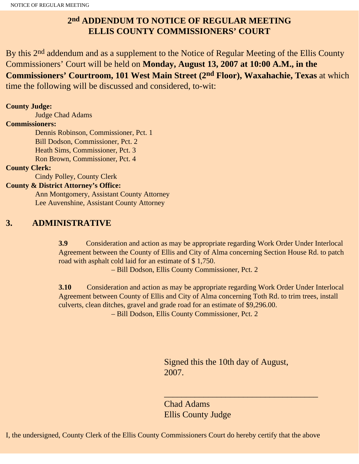## **2nd ADDENDUM TO NOTICE OF REGULAR MEETING ELLIS COUNTY COMMISSIONERS' COURT**

By this 2<sup>nd</sup> addendum and as a supplement to the Notice of Regular Meeting of the Ellis County Commissioners' Court will be held on **Monday, August 13, 2007 at 10:00 A.M., in the Commissioners' Courtroom, 101 West Main Street (2nd Floor), Waxahachie, Texas** at which time the following will be discussed and considered, to-wit:

#### **County Judge:**

Judge Chad Adams

#### **Commissioners:**

 Dennis Robinson, Commissioner, Pct. 1 Bill Dodson, Commissioner, Pct. 2 Heath Sims, Commissioner, Pct. 3 Ron Brown, Commissioner, Pct. 4

#### **County Clerk:**

Cindy Polley, County Clerk

#### **County & District Attorney's Office:**

 Ann Montgomery, Assistant County Attorney Lee Auvenshine, Assistant County Attorney

### **3. ADMINISTRATIVE**

**3.9** Consideration and action as may be appropriate regarding Work Order Under Interlocal Agreement between the County of Ellis and City of Alma concerning Section House Rd. to patch road with asphalt cold laid for an estimate of \$ 1,750.

– Bill Dodson, Ellis County Commissioner, Pct. 2

**3.10** Consideration and action as may be appropriate regarding Work Order Under Interlocal Agreement between County of Ellis and City of Alma concerning Toth Rd. to trim trees, install culverts, clean ditches, gravel and grade road for an estimate of \$9,296.00. – Bill Dodson, Ellis County Commissioner, Pct. 2

> Signed this the 10th day of August, 2007.

 $\overline{\phantom{a}}$  , and the set of the set of the set of the set of the set of the set of the set of the set of the set of the set of the set of the set of the set of the set of the set of the set of the set of the set of the s

Chad Adams Ellis County Judge

I, the undersigned, County Clerk of the Ellis County Commissioners Court do hereby certify that the above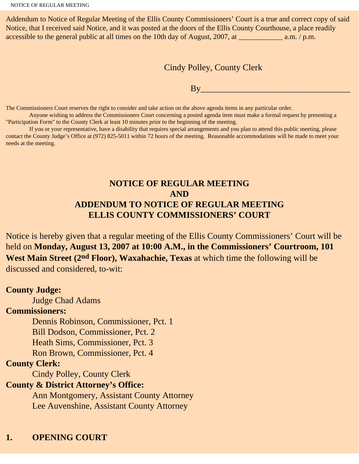Addendum to Notice of Regular Meeting of the Ellis County Commissioners' Court is a true and correct copy of said Notice, that I received said Notice, and it was posted at the doors of the Ellis County Courthouse, a place readily accessible to the general public at all times on the 10th day of August, 2007, at \_\_\_\_\_\_\_\_\_\_\_\_\_\_\_ a.m. / p.m.

Cindy Polley, County Clerk

 $\mathbf{B} \mathbf{v}$ 

The Commissioners Court reserves the right to consider and take action on the above agenda items in any particular order.

 Anyone wishing to address the Commissioners Court concerning a posted agenda item must make a formal request by presenting a "Participation Form" to the County Clerk at least 10 minutes prior to the beginning of the meeting.

 If you or your representative, have a disability that requires special arrangements and you plan to attend this public meeting, please contact the County Judge's Office at (972) 825-5011 within 72 hours of the meeting. Reasonable accommodations will be made to meet your needs at the meeting.

## **NOTICE OF REGULAR MEETING AND ADDENDUM TO NOTICE OF REGULAR MEETING ELLIS COUNTY COMMISSIONERS' COURT**

Notice is hereby given that a regular meeting of the Ellis County Commissioners' Court will be held on **Monday, August 13, 2007 at 10:00 A.M., in the Commissioners' Courtroom, 101 West Main Street (2nd Floor), Waxahachie, Texas** at which time the following will be discussed and considered, to-wit:

#### **County Judge:**

Judge Chad Adams

#### **Commissioners:**

Dennis Robinson, Commissioner, Pct. 1

Bill Dodson, Commissioner, Pct. 2

Heath Sims, Commissioner, Pct. 3

Ron Brown, Commissioner, Pct. 4

#### **County Clerk:**

Cindy Polley, County Clerk

### **County & District Attorney's Office:**

 Ann Montgomery, Assistant County Attorney Lee Auvenshine, Assistant County Attorney

## **1. OPENING COURT**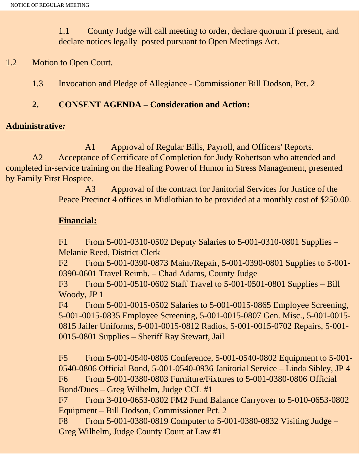1.1 County Judge will call meeting to order, declare quorum if present, and declare notices legally posted pursuant to Open Meetings Act.

## 1.2 Motion to Open Court.

1.3 Invocation and Pledge of Allegiance - Commissioner Bill Dodson, Pct. 2

## **2. CONSENT AGENDA – Consideration and Action:**

### **Administrative***:*

 A1 Approval of Regular Bills, Payroll, and Officers' Reports. A2 Acceptance of Certificate of Completion for Judy Robertson who attended and completed in-service training on the Healing Power of Humor in Stress Management, presented by Family First Hospice.

> A3 Approval of the contract for Janitorial Services for Justice of the Peace Precinct 4 offices in Midlothian to be provided at a monthly cost of \$250.00.

## **Financial:**

F1 From 5-001-0310-0502 Deputy Salaries to 5-001-0310-0801 Supplies – Melanie Reed, District Clerk

F2 From 5-001-0390-0873 Maint/Repair, 5-001-0390-0801 Supplies to 5-001- 0390-0601 Travel Reimb. – Chad Adams, County Judge

F3 From 5-001-0510-0602 Staff Travel to 5-001-0501-0801 Supplies – Bill Woody, JP 1

F4 From 5-001-0015-0502 Salaries to 5-001-0015-0865 Employee Screening, 5-001-0015-0835 Employee Screening, 5-001-0015-0807 Gen. Misc., 5-001-0015- 0815 Jailer Uniforms, 5-001-0015-0812 Radios, 5-001-0015-0702 Repairs, 5-001- 0015-0801 Supplies – Sheriff Ray Stewart, Jail

F5 From 5-001-0540-0805 Conference, 5-001-0540-0802 Equipment to 5-001- 0540-0806 Official Bond, 5-001-0540-0936 Janitorial Service – Linda Sibley, JP 4 F6 From 5-001-0380-0803 Furniture/Fixtures to 5-001-0380-0806 Official Bond/Dues – Greg Wilhelm, Judge CCL #1

F7 From 3-010-0653-0302 FM2 Fund Balance Carryover to 5-010-0653-0802 Equipment – Bill Dodson, Commissioner Pct. 2

F8 From 5-001-0380-0819 Computer to 5-001-0380-0832 Visiting Judge – Greg Wilhelm, Judge County Court at Law #1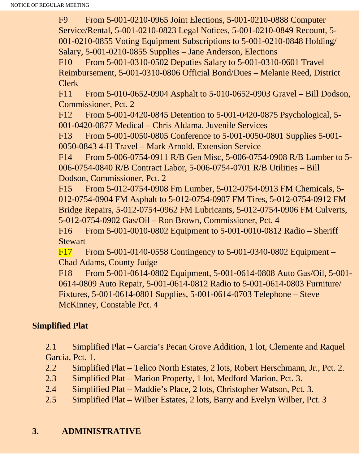F9 From 5-001-0210-0965 Joint Elections, 5-001-0210-0888 Computer Service/Rental, 5-001-0210-0823 Legal Notices, 5-001-0210-0849 Recount, 5- 001-0210-0855 Voting Equipment Subscriptions to 5-001-0210-0848 Holding/ Salary, 5-001-0210-0855 Supplies – Jane Anderson, Elections

F10 From 5-001-0310-0502 Deputies Salary to 5-001-0310-0601 Travel Reimbursement, 5-001-0310-0806 Official Bond/Dues – Melanie Reed, District Clerk

F11 From 5-010-0652-0904 Asphalt to 5-010-0652-0903 Gravel – Bill Dodson, Commissioner, Pct. 2

F12 From 5-001-0420-0845 Detention to 5-001-0420-0875 Psychological, 5- 001-0420-0877 Medical – Chris Aldama, Juvenile Services

F13 From 5-001-0050-0805 Conference to 5-001-0050-0801 Supplies 5-001- 0050-0843 4-H Travel – Mark Arnold, Extension Service

F14 From 5-006-0754-0911 R/B Gen Misc, 5-006-0754-0908 R/B Lumber to 5- 006-0754-0840 R/B Contract Labor, 5-006-0754-0701 R/B Utilities – Bill Dodson, Commissioner, Pct. 2

F15 From 5-012-0754-0908 Fm Lumber, 5-012-0754-0913 FM Chemicals, 5- 012-0754-0904 FM Asphalt to 5-012-0754-0907 FM Tires, 5-012-0754-0912 FM Bridge Repairs, 5-012-0754-0962 FM Lubricants, 5-012-0754-0906 FM Culverts, 5-012-0754-0902 Gas/Oil – Ron Brown, Commissioner, Pct. 4

F16 From 5-001-0010-0802 Equipment to 5-001-0010-0812 Radio – Sheriff **Stewart** 

F17 From 5-001-0140-0558 Contingency to 5-001-0340-0802 Equipment – Chad Adams, County Judge

F18 From 5-001-0614-0802 Equipment, 5-001-0614-0808 Auto Gas/Oil, 5-001- 0614-0809 Auto Repair, 5-001-0614-0812 Radio to 5-001-0614-0803 Furniture/ Fixtures, 5-001-0614-0801 Supplies, 5-001-0614-0703 Telephone – Steve McKinney, Constable Pct. 4

# **Simplified Plat**

2.1 Simplified Plat – Garcia's Pecan Grove Addition, 1 lot, Clemente and Raquel Garcia, Pct. 1.

- 2.2 Simplified Plat Telico North Estates, 2 lots, Robert Herschmann, Jr., Pct. 2.
- 2.3 Simplified Plat Marion Property, 1 lot, Medford Marion, Pct. 3.
- 2.4 Simplified Plat Maddie's Place, 2 lots, Christopher Watson, Pct. 3.
- 2.5 Simplified Plat Wilber Estates, 2 lots, Barry and Evelyn Wilber, Pct. 3

# **3. ADMINISTRATIVE**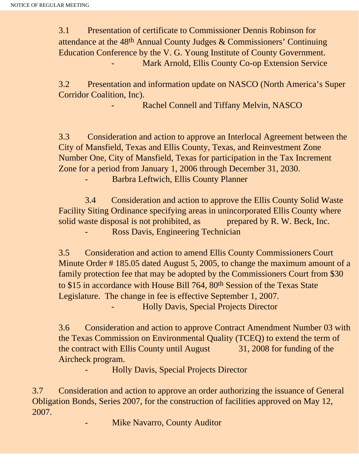3.1 Presentation of certificate to Commissioner Dennis Robinson for attendance at the 48th Annual County Judges & Commissioners' Continuing Education Conference by the V. G. Young Institute of County Government. Mark Arnold, Ellis County Co-op Extension Service

3.2 Presentation and information update on NASCO (North America's Super Corridor Coalition, Inc).

Rachel Connell and Tiffany Melvin, NASCO

3.3 Consideration and action to approve an Interlocal Agreement between the City of Mansfield, Texas and Ellis County, Texas, and Reinvestment Zone Number One, City of Mansfield, Texas for participation in the Tax Increment Zone for a period from January 1, 2006 through December 31, 2030.

- Barbra Leftwich, Ellis County Planner

 3.4 Consideration and action to approve the Ellis County Solid Waste Facility Siting Ordinance specifying areas in unincorporated Ellis County where solid waste disposal is not prohibited, as prepared by R. W. Beck, Inc. Ross Davis, Engineering Technician

3.5 Consideration and action to amend Ellis County Commissioners Court Minute Order # 185.05 dated August 5, 2005, to change the maximum amount of a family protection fee that may be adopted by the Commissioners Court from \$30 to \$15 in accordance with House Bill 764, 80th Session of the Texas State Legislature. The change in fee is effective September 1, 2007. - Holly Davis, Special Projects Director

3.6 Consideration and action to approve Contract Amendment Number 03 with the Texas Commission on Environmental Quality (TCEQ) to extend the term of the contract with Ellis County until August 31, 2008 for funding of the Aircheck program.

- Holly Davis, Special Projects Director

3.7 Consideration and action to approve an order authorizing the issuance of General Obligation Bonds, Series 2007, for the construction of facilities approved on May 12, 2007.

Mike Navarro, County Auditor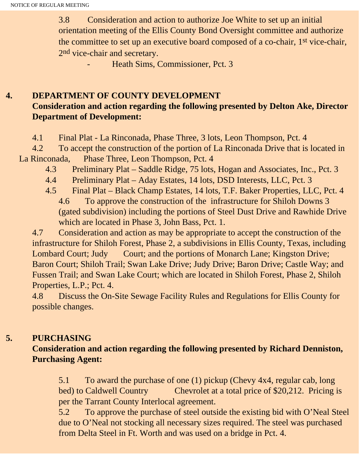3.8 Consideration and action to authorize Joe White to set up an initial orientation meeting of the Ellis County Bond Oversight committee and authorize the committee to set up an executive board composed of a co-chair, 1st vice-chair, 2nd vice-chair and secretary.

Heath Sims, Commissioner, Pct. 3

## **4. DEPARTMENT OF COUNTY DEVELOPMENT Consideration and action regarding the following presented by Delton Ake, Director Department of Development:**

4.1 Final Plat - La Rinconada, Phase Three, 3 lots, Leon Thompson, Pct. 4

 4.2 To accept the construction of the portion of La Rinconada Drive that is located in La Rinconada, Phase Three, Leon Thompson, Pct. 4

- 4.3 Preliminary Plat Saddle Ridge, 75 lots, Hogan and Associates, Inc., Pct. 3
- 4.4 Preliminary Plat Aday Estates, 14 lots, DSD Interests, LLC, Pct. 3
- 4.5 Final Plat Black Champ Estates, 14 lots, T.F. Baker Properties, LLC, Pct. 4
	- 4.6 To approve the construction of the infrastructure for Shiloh Downs 3 (gated subdivision) including the portions of Steel Dust Drive and Rawhide Drive which are located in Phase 3, John Bass, Pct. 1.

4.7 Consideration and action as may be appropriate to accept the construction of the infrastructure for Shiloh Forest, Phase 2, a subdivisions in Ellis County, Texas, including Lombard Court; Judy Court; and the portions of Monarch Lane; Kingston Drive; Baron Court; Shiloh Trail; Swan Lake Drive; Judy Drive; Baron Drive; Castle Way; and Fussen Trail; and Swan Lake Court; which are located in Shiloh Forest, Phase 2, Shiloh Properties, L.P.; Pct. 4.

4.8 Discuss the On-Site Sewage Facility Rules and Regulations for Ellis County for possible changes.

## **5. PURCHASING**

# **Consideration and action regarding the following presented by Richard Denniston, Purchasing Agent:**

5.1To award the purchase of one (1) pickup (Chevy 4x4, regular cab, long bed) to Caldwell Country Chevrolet at a total price of \$20,212. Pricing is per the Tarrant County Interlocal agreement.

5.2 To approve the purchase of steel outside the existing bid with O'Neal Steel due to O'Neal not stocking all necessary sizes required. The steel was purchased from Delta Steel in Ft. Worth and was used on a bridge in Pct. 4.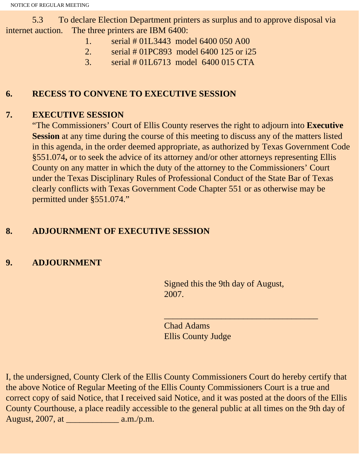5.3 To declare Election Department printers as surplus and to approve disposal via internet auction. The three printers are IBM 6400:

- 1. serial # 01L3443 model 6400 050 A00
- 2. serial # 01PC893 model 6400 125 or i25
- 3. serial # 01L6713 model 6400 015 CTA

# **6. RECESS TO CONVENE TO EXECUTIVE SESSION**

# **7. EXECUTIVE SESSION**

"The Commissioners' Court of Ellis County reserves the right to adjourn into **Executive Session** at any time during the course of this meeting to discuss any of the matters listed in this agenda, in the order deemed appropriate, as authorized by Texas Government Code §551.074**,** or to seek the advice of its attorney and/or other attorneys representing Ellis County on any matter in which the duty of the attorney to the Commissioners' Court under the Texas Disciplinary Rules of Professional Conduct of the State Bar of Texas clearly conflicts with Texas Government Code Chapter 551 or as otherwise may be permitted under §551.074."

# **8. ADJOURNMENT OF EXECUTIVE SESSION**

# **9. ADJOURNMENT**

Signed this the 9th day of August, 2007.

 $\overline{\phantom{a}}$  , and the set of the set of the set of the set of the set of the set of the set of the set of the set of the set of the set of the set of the set of the set of the set of the set of the set of the set of the s

Chad Adams Ellis County Judge

I, the undersigned, County Clerk of the Ellis County Commissioners Court do hereby certify that the above Notice of Regular Meeting of the Ellis County Commissioners Court is a true and correct copy of said Notice, that I received said Notice, and it was posted at the doors of the Ellis County Courthouse, a place readily accessible to the general public at all times on the 9th day of August, 2007, at \_\_\_\_\_\_\_\_\_\_\_\_ a.m./p.m.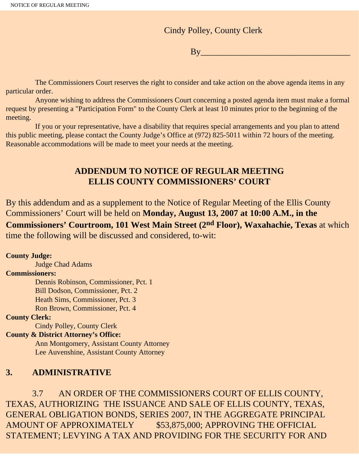Cindy Polley, County Clerk

 $\overline{\mathrm{By}}$ 

 The Commissioners Court reserves the right to consider and take action on the above agenda items in any particular order.

 Anyone wishing to address the Commissioners Court concerning a posted agenda item must make a formal request by presenting a "Participation Form" to the County Clerk at least 10 minutes prior to the beginning of the meeting.

 If you or your representative, have a disability that requires special arrangements and you plan to attend this public meeting, please contact the County Judge's Office at (972) 825-5011 within 72 hours of the meeting. Reasonable accommodations will be made to meet your needs at the meeting.

## **ADDENDUM TO NOTICE OF REGULAR MEETING ELLIS COUNTY COMMISSIONERS' COURT**

By this addendum and as a supplement to the Notice of Regular Meeting of the Ellis County Commissioners' Court will be held on **Monday, August 13, 2007 at 10:00 A.M., in the Commissioners' Courtroom, 101 West Main Street (2nd Floor), Waxahachie, Texas** at which time the following will be discussed and considered, to-wit:

#### **County Judge:**

 Judge Chad Adams **Commissioners:** Dennis Robinson, Commissioner, Pct. 1 Bill Dodson, Commissioner, Pct. 2 Heath Sims, Commissioner, Pct. 3 Ron Brown, Commissioner, Pct. 4

#### **County Clerk:**

Cindy Polley, County Clerk

#### **County & District Attorney's Office:**

 Ann Montgomery, Assistant County Attorney Lee Auvenshine, Assistant County Attorney

### **3. ADMINISTRATIVE**

 3.7 AN ORDER OF THE COMMISSIONERS COURT OF ELLIS COUNTY, TEXAS, AUTHORIZING THE ISSUANCE AND SALE OF ELLIS COUNTY, TEXAS, GENERAL OBLIGATION BONDS, SERIES 2007, IN THE AGGREGATE PRINCIPAL AMOUNT OF APPROXIMATELY \$53,875,000; APPROVING THE OFFICIAL STATEMENT; LEVYING A TAX AND PROVIDING FOR THE SECURITY FOR AND